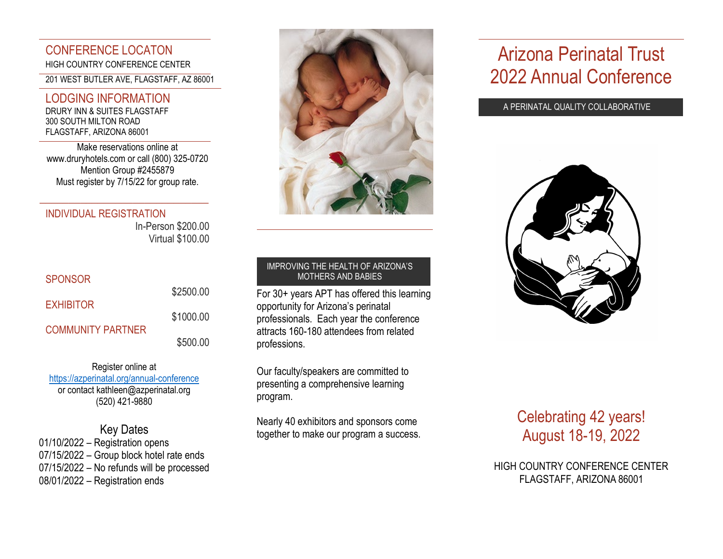### CONFERENCE LOCATON HIGH COUNTRY CONFERENCE CENTER

201 WEST BUTLER AVE, FLAGSTAFF, AZ 86001

### LODGING INFORMATION

DRURY INN & SUITES FLAGSTAFF 300 SOUTH MILTON ROAD FLAGSTAFF, ARIZONA 86001

Make reservations online at [www.druryhotels.com](http://www.druryhotels.com/) or call (800) 325-0720 Mention Group #2455879 Must register by 7/15/22 for group rate.

\_\_\_\_\_\_\_\_\_\_\_\_\_\_\_\_\_\_\_\_\_\_\_\_\_\_\_\_\_

### INDIVIDUAL REGISTRATION

In-Person \$200.00 Virtual \$100.00

### SPONSOR

| <b>EXHIBITOR</b>         | \$2500.00 |
|--------------------------|-----------|
|                          | \$1000.00 |
| <b>COMMUNITY PARTNER</b> | \$500.00  |

### Register online at <https://azperinatal.org/annual-conference> or contac[t kathleen@azperinatal.org](mailto:kathleen@azperinatal.org) (520) 421-9880

### Key Dates

01/10/2022 – Registration opens 07/15/2022 – Group block hotel rate ends 07/15/2022 – No refunds will be processed 08/01/2022 – Registration ends



#### IMPROVING THE HEALTH OF ARIZONA'S MOTHERS AND BABIES

For 30+ years APT has offered this learning opportunity for Arizona's perinatal professionals. Each year the conference attracts 160-180 attendees from related professions.

Our faculty/speakers are committed to presenting a comprehensive learning program.

Nearly 40 exhibitors and sponsors come together to make our program a success.

# Arizona Perinatal Trust 2022 Annual Conference

A PERINATAL QUALITY COLLABORATIVE



## Celebrating 42 years! August 18-19, 2022

HIGH COUNTRY CONFERENCE CENTER FLAGSTAFF, ARIZONA 86001